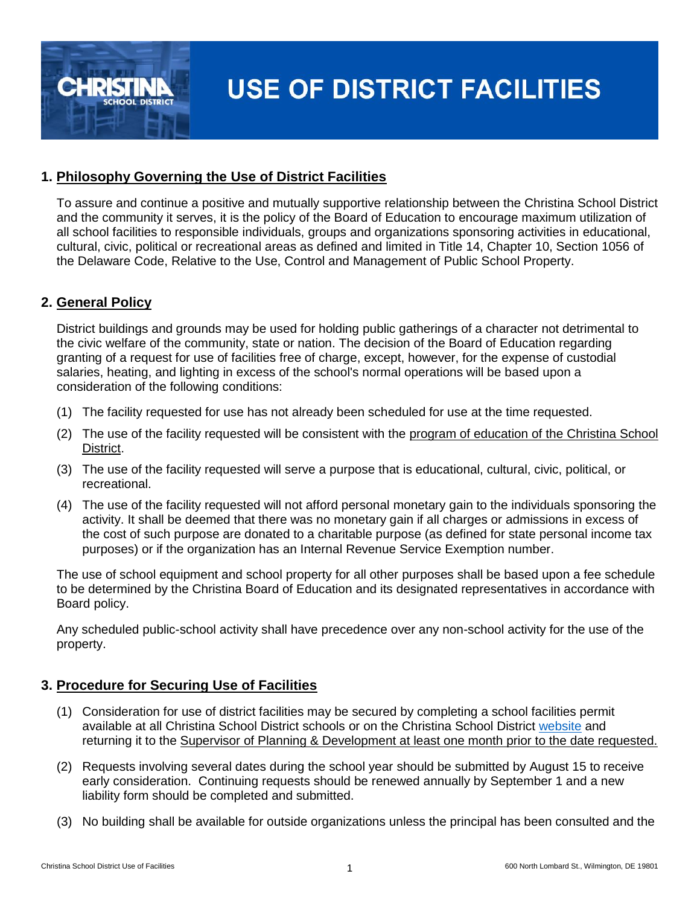

# **USE OF DISTRICT FACILITIES**

# **1. Philosophy Governing the Use of District Facilities**

To assure and continue a positive and mutually supportive relationship between the Christina School District and the community it serves, it is the policy of the Board of Education to encourage maximum utilization of all school facilities to responsible individuals, groups and organizations sponsoring activities in educational, cultural, civic, political or recreational areas as defined and limited in Title 14, Chapter 10, Section 1056 of the Delaware Code, Relative to the Use, Control and Management of Public School Property.

## **2. General Policy**

District buildings and grounds may be used for holding public gatherings of a character not detrimental to the civic welfare of the community, state or nation. The decision of the Board of Education regarding granting of a request for use of facilities free of charge, except, however, for the expense of custodial salaries, heating, and lighting in excess of the school's normal operations will be based upon a consideration of the following conditions:

- (1) The facility requested for use has not already been scheduled for use at the time requested.
- (2) The use of the facility requested will be consistent with the program of education of the Christina School District.
- (3) The use of the facility requested will serve a purpose that is educational, cultural, civic, political, or recreational.
- (4) The use of the facility requested will not afford personal monetary gain to the individuals sponsoring the activity. It shall be deemed that there was no monetary gain if all charges or admissions in excess of the cost of such purpose are donated to a charitable purpose (as defined for state personal income tax purposes) or if the organization has an Internal Revenue Service Exemption number.

The use of school equipment and school property for all other purposes shall be based upon a fee schedule to be determined by the Christina Board of Education and its designated representatives in accordance with Board policy.

Any scheduled public-school activity shall have precedence over any non-school activity for the use of the property.

## **3. Procedure for Securing Use of Facilities**

- (1) Consideration for use of district facilities may be secured by completing a school facilities permit available at all Christina School District schools or on the Christina School District [website](http://www.christinak12.org/Page/335) and returning it to the Supervisor of Planning & Development at least one month prior to the date requested.
- (2) Requests involving several dates during the school year should be submitted by August 15 to receive early consideration. Continuing requests should be renewed annually by September 1 and a new liability form should be completed and submitted.
- (3) No building shall be available for outside organizations unless the principal has been consulted and the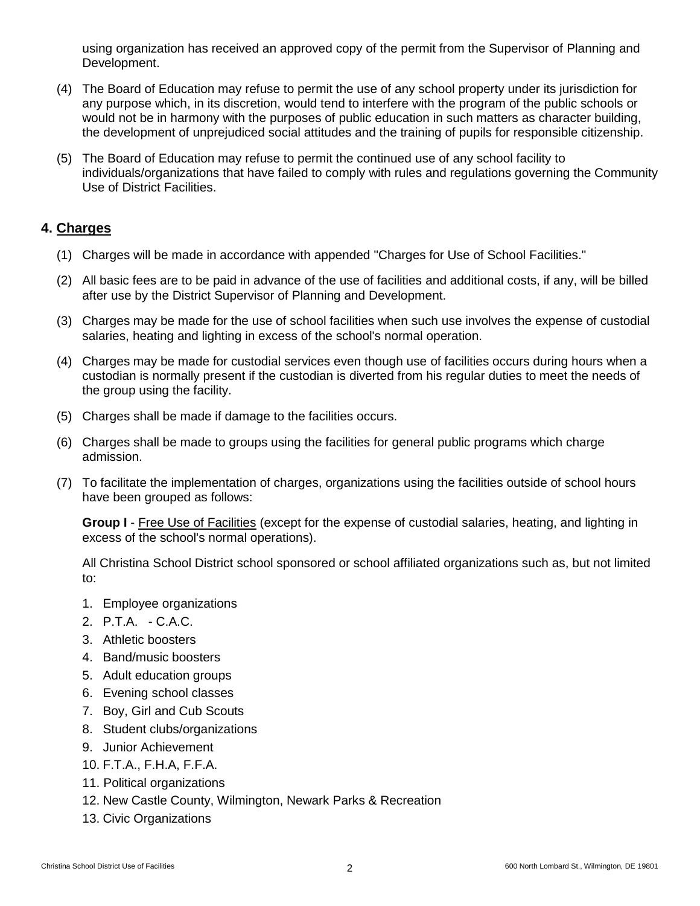using organization has received an approved copy of the permit from the Supervisor of Planning and Development.

- (4) The Board of Education may refuse to permit the use of any school property under its jurisdiction for any purpose which, in its discretion, would tend to interfere with the program of the public schools or would not be in harmony with the purposes of public education in such matters as character building, the development of unprejudiced social attitudes and the training of pupils for responsible citizenship.
- (5) The Board of Education may refuse to permit the continued use of any school facility to individuals/organizations that have failed to comply with rules and regulations governing the Community Use of District Facilities.

# **4. Charges**

- (1) Charges will be made in accordance with appended "Charges for Use of School Facilities."
- (2) All basic fees are to be paid in advance of the use of facilities and additional costs, if any, will be billed after use by the District Supervisor of Planning and Development.
- (3) Charges may be made for the use of school facilities when such use involves the expense of custodial salaries, heating and lighting in excess of the school's normal operation.
- (4) Charges may be made for custodial services even though use of facilities occurs during hours when a custodian is normally present if the custodian is diverted from his regular duties to meet the needs of the group using the facility.
- (5) Charges shall be made if damage to the facilities occurs.
- (6) Charges shall be made to groups using the facilities for general public programs which charge admission.
- (7) To facilitate the implementation of charges, organizations using the facilities outside of school hours have been grouped as follows:

**Group I** - Free Use of Facilities (except for the expense of custodial salaries, heating, and lighting in excess of the school's normal operations).

All Christina School District school sponsored or school affiliated organizations such as, but not limited to:

- 1. Employee organizations
- 2. P.T.A. C.A.C.
- 3. Athletic boosters
- 4. Band/music boosters
- 5. Adult education groups
- 6. Evening school classes
- 7. Boy, Girl and Cub Scouts
- 8. Student clubs/organizations
- 9. Junior Achievement
- 10. F.T.A., F.H.A, F.F.A.
- 11. Political organizations
- 12. New Castle County, Wilmington, Newark Parks & Recreation
- 13. Civic Organizations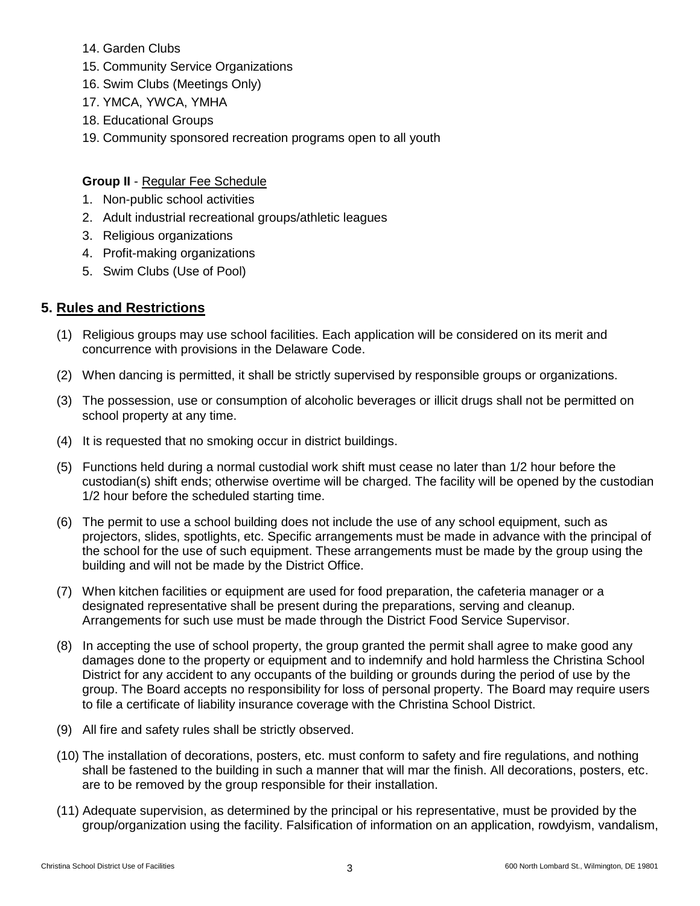- 14. Garden Clubs
- 15. Community Service Organizations
- 16. Swim Clubs (Meetings Only)
- 17. YMCA, YWCA, YMHA
- 18. Educational Groups
- 19. Community sponsored recreation programs open to all youth

## **Group II** - Regular Fee Schedule

- 1. Non-public school activities
- 2. Adult industrial recreational groups/athletic leagues
- 3. Religious organizations
- 4. Profit-making organizations
- 5. Swim Clubs (Use of Pool)

## **5. Rules and Restrictions**

- (1) Religious groups may use school facilities. Each application will be considered on its merit and concurrence with provisions in the Delaware Code.
- (2) When dancing is permitted, it shall be strictly supervised by responsible groups or organizations.
- (3) The possession, use or consumption of alcoholic beverages or illicit drugs shall not be permitted on school property at any time.
- (4) It is requested that no smoking occur in district buildings.
- (5) Functions held during a normal custodial work shift must cease no later than 1/2 hour before the custodian(s) shift ends; otherwise overtime will be charged. The facility will be opened by the custodian 1/2 hour before the scheduled starting time.
- (6) The permit to use a school building does not include the use of any school equipment, such as projectors, slides, spotlights, etc. Specific arrangements must be made in advance with the principal of the school for the use of such equipment. These arrangements must be made by the group using the building and will not be made by the District Office.
- (7) When kitchen facilities or equipment are used for food preparation, the cafeteria manager or a designated representative shall be present during the preparations, serving and cleanup. Arrangements for such use must be made through the District Food Service Supervisor.
- (8) In accepting the use of school property, the group granted the permit shall agree to make good any damages done to the property or equipment and to indemnify and hold harmless the Christina School District for any accident to any occupants of the building or grounds during the period of use by the group. The Board accepts no responsibility for loss of personal property. The Board may require users to file a certificate of liability insurance coverage with the Christina School District.
- (9) All fire and safety rules shall be strictly observed.
- (10) The installation of decorations, posters, etc. must conform to safety and fire regulations, and nothing shall be fastened to the building in such a manner that will mar the finish. All decorations, posters, etc. are to be removed by the group responsible for their installation.
- (11) Adequate supervision, as determined by the principal or his representative, must be provided by the group/organization using the facility. Falsification of information on an application, rowdyism, vandalism,